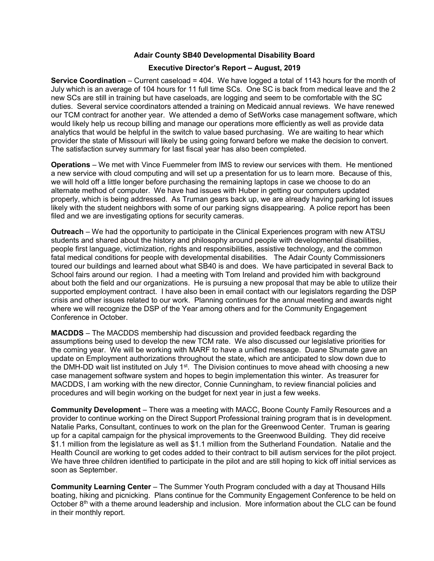## Adair County SB40 Developmental Disability Board

## Executive Director's Report – August, 2019

Service Coordination – Current caseload = 404. We have logged a total of 1143 hours for the month of July which is an average of 104 hours for 11 full time SCs. One SC is back from medical leave and the 2 new SCs are still in training but have caseloads, are logging and seem to be comfortable with the SC duties. Several service coordinators attended a training on Medicaid annual reviews. We have renewed our TCM contract for another year. We attended a demo of SetWorks case management software, which would likely help us recoup billing and manage our operations more efficiently as well as provide data analytics that would be helpful in the switch to value based purchasing. We are waiting to hear which provider the state of Missouri will likely be using going forward before we make the decision to convert. The satisfaction survey summary for last fiscal year has also been completed.

Operations – We met with Vince Fuemmeler from IMS to review our services with them. He mentioned a new service with cloud computing and will set up a presentation for us to learn more. Because of this, we will hold off a little longer before purchasing the remaining laptops in case we choose to do an alternate method of computer. We have had issues with Huber in getting our computers updated properly, which is being addressed. As Truman gears back up, we are already having parking lot issues likely with the student neighbors with some of our parking signs disappearing. A police report has been filed and we are investigating options for security cameras.

Outreach – We had the opportunity to participate in the Clinical Experiences program with new ATSU students and shared about the history and philosophy around people with developmental disabilities, people first language, victimization, rights and responsibilities, assistive technology, and the common fatal medical conditions for people with developmental disabilities. The Adair County Commissioners toured our buildings and learned about what SB40 is and does. We have participated in several Back to School fairs around our region. I had a meeting with Tom Ireland and provided him with background about both the field and our organizations. He is pursuing a new proposal that may be able to utilize their supported employment contract. I have also been in email contact with our legislators regarding the DSP crisis and other issues related to our work. Planning continues for the annual meeting and awards night where we will recognize the DSP of the Year among others and for the Community Engagement Conference in October.

MACDDS – The MACDDS membership had discussion and provided feedback regarding the assumptions being used to develop the new TCM rate. We also discussed our legislative priorities for the coming year. We will be working with MARF to have a unified message. Duane Shumate gave an update on Employment authorizations throughout the state, which are anticipated to slow down due to the DMH-DD wait list instituted on July 1<sup>st</sup>. The Division continues to move ahead with choosing a new case management software system and hopes to begin implementation this winter. As treasurer for MACDDS, I am working with the new director, Connie Cunningham, to review financial policies and procedures and will begin working on the budget for next year in just a few weeks.

Community Development – There was a meeting with MACC, Boone County Family Resources and a provider to continue working on the Direct Support Professional training program that is in development. Natalie Parks, Consultant, continues to work on the plan for the Greenwood Center. Truman is gearing up for a capital campaign for the physical improvements to the Greenwood Building. They did receive \$1.1 million from the legislature as well as \$1.1 million from the Sutherland Foundation. Natalie and the Health Council are working to get codes added to their contract to bill autism services for the pilot project. We have three children identified to participate in the pilot and are still hoping to kick off initial services as soon as September.

Community Learning Center – The Summer Youth Program concluded with a day at Thousand Hills boating, hiking and picnicking. Plans continue for the Community Engagement Conference to be held on October  $8<sup>th</sup>$  with a theme around leadership and inclusion. More information about the CLC can be found in their monthly report.